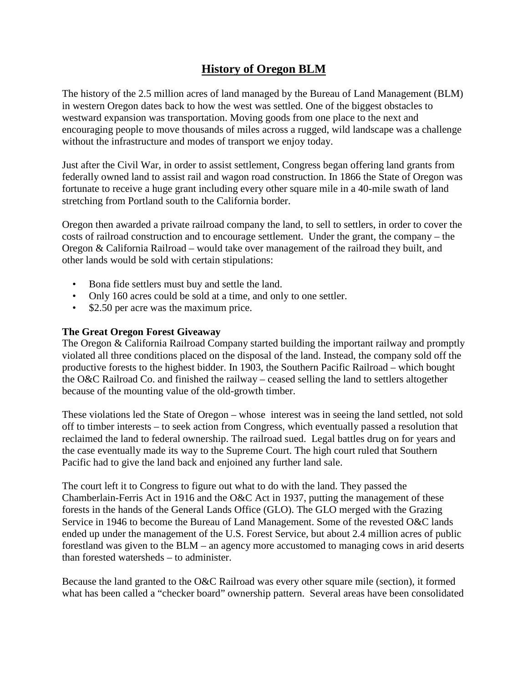# **History of Oregon BLM**

The history of the 2.5 million acres of land managed by the Bureau of Land Management (BLM) in western Oregon dates back to how the west was settled. One of the biggest obstacles to westward expansion was transportation. Moving goods from one place to the next and encouraging people to move thousands of miles across a rugged, wild landscape was a challenge without the infrastructure and modes of transport we enjoy today.

Just after the Civil War, in order to assist settlement, Congress began offering land grants from federally owned land to assist rail and wagon road construction. In 1866 the State of Oregon was fortunate to receive a huge grant including every other square mile in a 40-mile swath of land stretching from Portland south to the California border.

Oregon then awarded a private railroad company the land, to sell to settlers, in order to cover the costs of railroad construction and to encourage settlement. Under the grant, the company – the Oregon & California Railroad – would take over management of the railroad they built, and other lands would be sold with certain stipulations:

- Bona fide settlers must buy and settle the land.
- Only 160 acres could be sold at a time, and only to one settler.
- \$2.50 per acre was the maximum price.

### **The Great Oregon Forest Giveaway**

The Oregon & California Railroad Company started building the important railway and promptly violated all three conditions placed on the disposal of the land. Instead, the company sold off the productive forests to the highest bidder. In 1903, the Southern Pacific Railroad – which bought the O&C Railroad Co. and finished the railway – ceased selling the land to settlers altogether because of the mounting value of the old-growth timber.

These violations led the State of Oregon – whose interest was in seeing the land settled, not sold off to timber interests – to seek action from Congress, which eventually passed a resolution that reclaimed the land to federal ownership. The railroad sued. Legal battles drug on for years and the case eventually made its way to the Supreme Court. The high court ruled that Southern Pacific had to give the land back and enjoined any further land sale.

The court left it to Congress to figure out what to do with the land. They passed the Chamberlain-Ferris Act in 1916 and the O&C Act in 1937, putting the management of these forests in the hands of the General Lands Office (GLO). The GLO merged with the Grazing Service in 1946 to become the Bureau of Land Management. Some of the revested O&C lands ended up under the management of the U.S. Forest Service, but about 2.4 million acres of public forestland was given to the BLM – an agency more accustomed to managing cows in arid deserts than forested watersheds – to administer.

Because the land granted to the O&C Railroad was every other square mile (section), it formed what has been called a "checker board" ownership pattern. Several areas have been consolidated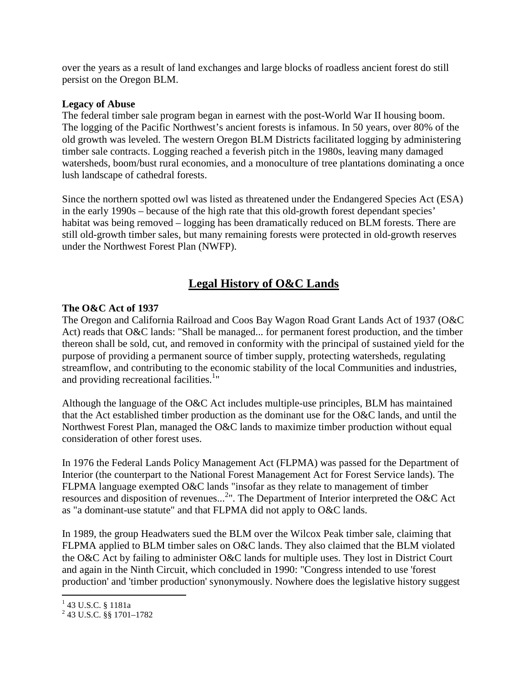over the years as a result of land exchanges and large blocks of roadless ancient forest do still persist on the Oregon BLM.

#### **Legacy of Abuse**

The federal timber sale program began in earnest with the post-World War II housing boom. The logging of the Pacific Northwest's ancient forests is infamous. In 50 years, over 80% of the old growth was leveled. The western Oregon BLM Districts facilitated logging by administering timber sale contracts. Logging reached a feverish pitch in the 1980s, leaving many damaged watersheds, boom/bust rural economies, and a monoculture of tree plantations dominating a once lush landscape of cathedral forests.

Since the northern spotted owl was listed as threatened under the Endangered Species Act (ESA) in the early 1990s – because of the high rate that this old-growth forest dependant species' habitat was being removed – logging has been dramatically reduced on BLM forests. There are still old-growth timber sales, but many remaining forests were protected in old-growth reserves under the Northwest Forest Plan (NWFP).

# **Legal History of O&C Lands**

## **The O&C Act of 1937**

The Oregon and California Railroad and Coos Bay Wagon Road Grant Lands Act of 1937 (O&C Act) reads that O&C lands: "Shall be managed... for permanent forest production, and the timber thereon shall be sold, cut, and removed in conformity with the principal of sustained yield for the purpose of providing a permanent source of timber supply, protecting watersheds, regulating streamflow, and contributing to the economic stability of the local Communities and industries, and providing recreational facilities.<sup>1</sup>"

Although the language of the O&C Act includes multiple-use principles, BLM has maintained that the Act established timber production as the dominant use for the O&C lands, and until the Northwest Forest Plan, managed the O&C lands to maximize timber production without equal consideration of other forest uses.

In 1976 the Federal Lands Policy Management Act (FLPMA) was passed for the Department of Interior (the counterpart to the National Forest Management Act for Forest Service lands). The FLPMA language exempted O&C lands "insofar as they relate to management of timber resources and disposition of revenues...<sup>2</sup>". The Department of Interior interpreted the O&C Act as "a dominant-use statute" and that FLPMA did not apply to O&C lands.

In 1989, the group Headwaters sued the BLM over the Wilcox Peak timber sale, claiming that FLPMA applied to BLM timber sales on O&C lands. They also claimed that the BLM violated the O&C Act by failing to administer O&C lands for multiple uses. They lost in District Court and again in the Ninth Circuit, which concluded in 1990: "Congress intended to use 'forest production' and 'timber production' synonymously. Nowhere does the legislative history suggest

 1 43 U.S.C. § 1181a

<sup>2</sup> 43 U.S.C. §§ 1701–1782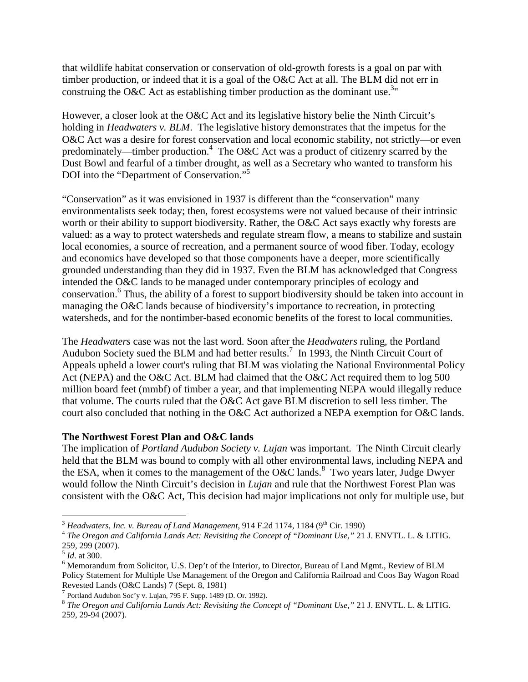that wildlife habitat conservation or conservation of old-growth forests is a goal on par with timber production, or indeed that it is a goal of the O&C Act at all. The BLM did not err in construing the O&C Act as establishing timber production as the dominant use.<sup>3</sup>"

However, a closer look at the O&C Act and its legislative history belie the Ninth Circuit's holding in *Headwaters v. BLM*. The legislative history demonstrates that the impetus for the O&C Act was a desire for forest conservation and local economic stability, not strictly—or even predominately—timber production.<sup>4</sup> The O&C Act was a product of citizenry scarred by the Dust Bowl and fearful of a timber drought, as well as a Secretary who wanted to transform his DOI into the "Department of Conservation."<sup>5</sup>

"Conservation" as it was envisioned in 1937 is different than the "conservation" many environmentalists seek today; then, forest ecosystems were not valued because of their intrinsic worth or their ability to support biodiversity. Rather, the O&C Act says exactly why forests are valued: as a way to protect watersheds and regulate stream flow, a means to stabilize and sustain local economies, a source of recreation, and a permanent source of wood fiber. Today, ecology and economics have developed so that those components have a deeper, more scientifically grounded understanding than they did in 1937. Even the BLM has acknowledged that Congress intended the O&C lands to be managed under contemporary principles of ecology and conservation.<sup>6</sup> Thus, the ability of a forest to support biodiversity should be taken into account in managing the O&C lands because of biodiversity's importance to recreation, in protecting watersheds, and for the nontimber-based economic benefits of the forest to local communities.

The *Headwaters* case was not the last word. Soon after the *Headwaters* ruling, the Portland Audubon Society sued the BLM and had better results.<sup>7</sup> In 1993, the Ninth Circuit Court of Appeals upheld a lower court's ruling that BLM was violating the National Environmental Policy Act (NEPA) and the O&C Act. BLM had claimed that the O&C Act required them to log 500 million board feet (mmbf) of timber a year, and that implementing NEPA would illegally reduce that volume. The courts ruled that the O&C Act gave BLM discretion to sell less timber. The court also concluded that nothing in the O&C Act authorized a NEPA exemption for O&C lands.

## **The Northwest Forest Plan and O&C lands**

The implication of *Portland Audubon Society v. Lujan* was important. The Ninth Circuit clearly held that the BLM was bound to comply with all other environmental laws, including NEPA and the ESA, when it comes to the management of the O&C lands.<sup>8</sup> Two years later, Judge Dwyer would follow the Ninth Circuit's decision in *Lujan* and rule that the Northwest Forest Plan was consistent with the O&C Act, This decision had major implications not only for multiple use, but

 $\overline{a}$  $3$  *Headwaters, Inc. v. Bureau of Land Management,* 914 F.2d 1174, 1184 (9<sup>th</sup> Cir. 1990)

<sup>4</sup> *The Oregon and California Lands Act: Revisiting the Concept of "Dominant Use,"* 21 J. ENVTL. L. & LITIG. 259, 299 (2007).

<sup>5</sup> *Id*. at 300.

<sup>&</sup>lt;sup>6</sup> Memorandum from Solicitor, U.S. Dep't of the Interior, to Director, Bureau of Land Mgmt., Review of BLM Policy Statement for Multiple Use Management of the Oregon and California Railroad and Coos Bay Wagon Road Revested Lands (O&C Lands) 7 (Sept. 8, 1981)

<sup>7</sup> Portland Audubon Soc'y v. Lujan, 795 F. Supp. 1489 (D. Or. 1992).

<sup>8</sup> *The Oregon and California Lands Act: Revisiting the Concept of "Dominant Use,"* 21 J. ENVTL. L. & LITIG. 259, 29-94 (2007).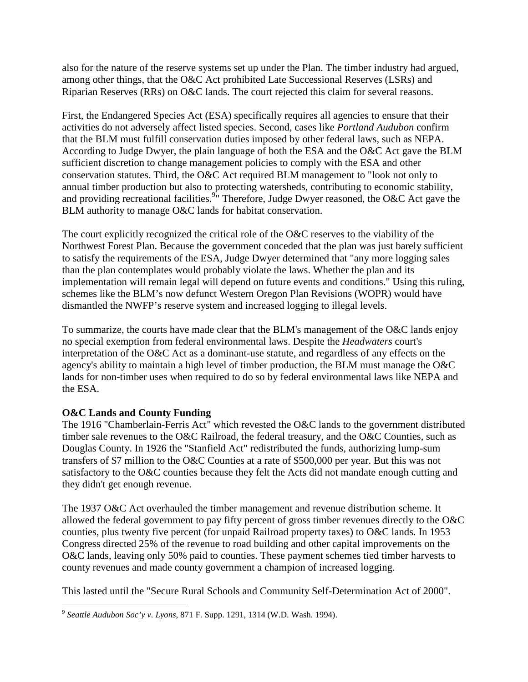also for the nature of the reserve systems set up under the Plan. The timber industry had argued, among other things, that the O&C Act prohibited Late Successional Reserves (LSRs) and Riparian Reserves (RRs) on O&C lands. The court rejected this claim for several reasons.

First, the Endangered Species Act (ESA) specifically requires all agencies to ensure that their activities do not adversely affect listed species. Second, cases like *Portland Audubon* confirm that the BLM must fulfill conservation duties imposed by other federal laws, such as NEPA. According to Judge Dwyer, the plain language of both the ESA and the O&C Act gave the BLM sufficient discretion to change management policies to comply with the ESA and other conservation statutes. Third, the O&C Act required BLM management to "look not only to annual timber production but also to protecting watersheds, contributing to economic stability, and providing recreational facilities.<sup>9</sup> Therefore, Judge Dwyer reasoned, the O&C Act gave the BLM authority to manage O&C lands for habitat conservation.

The court explicitly recognized the critical role of the O&C reserves to the viability of the Northwest Forest Plan. Because the government conceded that the plan was just barely sufficient to satisfy the requirements of the ESA, Judge Dwyer determined that "any more logging sales than the plan contemplates would probably violate the laws. Whether the plan and its implementation will remain legal will depend on future events and conditions." Using this ruling, schemes like the BLM's now defunct Western Oregon Plan Revisions (WOPR) would have dismantled the NWFP's reserve system and increased logging to illegal levels.

To summarize, the courts have made clear that the BLM's management of the O&C lands enjoy no special exemption from federal environmental laws. Despite the *Headwaters* court's interpretation of the O&C Act as a dominant-use statute, and regardless of any effects on the agency's ability to maintain a high level of timber production, the BLM must manage the O&C lands for non-timber uses when required to do so by federal environmental laws like NEPA and the ESA.

## **O&C Lands and County Funding**

The 1916 "Chamberlain-Ferris Act" which revested the O&C lands to the government distributed timber sale revenues to the O&C Railroad, the federal treasury, and the O&C Counties, such as Douglas County. In 1926 the "Stanfield Act" redistributed the funds, authorizing lump-sum transfers of \$7 million to the O&C Counties at a rate of \$500,000 per year. But this was not satisfactory to the O&C counties because they felt the Acts did not mandate enough cutting and they didn't get enough revenue.

The 1937 O&C Act overhauled the timber management and revenue distribution scheme. It allowed the federal government to pay fifty percent of gross timber revenues directly to the O&C counties, plus twenty five percent (for unpaid Railroad property taxes) to O&C lands. In 1953 Congress directed 25% of the revenue to road building and other capital improvements on the O&C lands, leaving only 50% paid to counties. These payment schemes tied timber harvests to county revenues and made county government a champion of increased logging.

This lasted until the "Secure Rural Schools and Community Self-Determination Act of 2000".

 9 *Seattle Audubon Soc'y v. Lyons*, 871 F. Supp. 1291, 1314 (W.D. Wash. 1994).